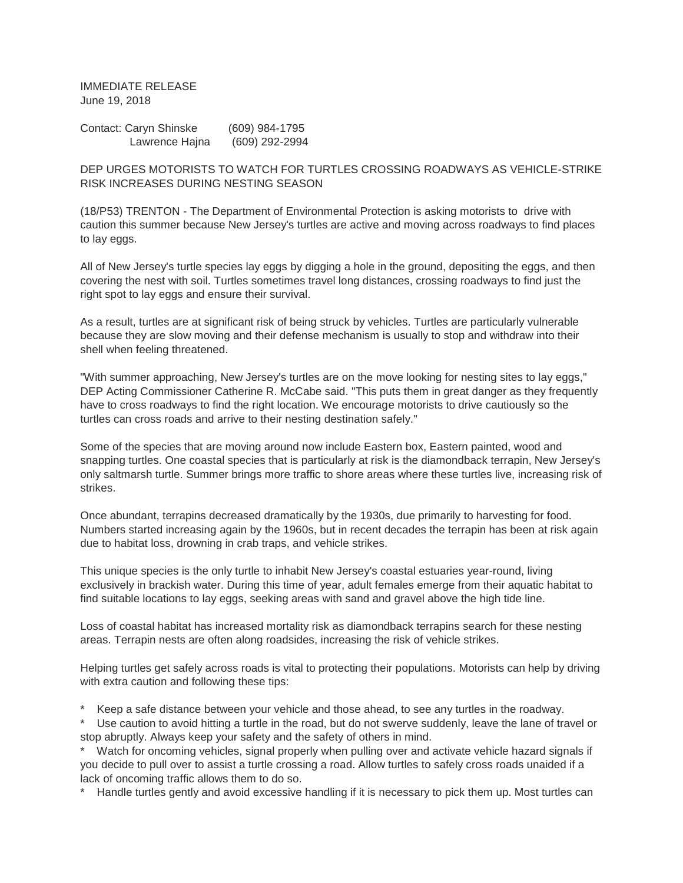IMMEDIATE RELEASE June 19, 2018

Contact: Caryn Shinske (609) 984-1795 Lawrence Hajna (609) 292-2994

DEP URGES MOTORISTS TO WATCH FOR TURTLES CROSSING ROADWAYS AS VEHICLE-STRIKE RISK INCREASES DURING NESTING SEASON

(18/P53) TRENTON - The Department of Environmental Protection is asking motorists to drive with caution this summer because New Jersey's turtles are active and moving across roadways to find places to lay eggs.

All of New Jersey's turtle species lay eggs by digging a hole in the ground, depositing the eggs, and then covering the nest with soil. Turtles sometimes travel long distances, crossing roadways to find just the right spot to lay eggs and ensure their survival.

As a result, turtles are at significant risk of being struck by vehicles. Turtles are particularly vulnerable because they are slow moving and their defense mechanism is usually to stop and withdraw into their shell when feeling threatened.

"With summer approaching, New Jersey's turtles are on the move looking for nesting sites to lay eggs," DEP Acting Commissioner Catherine R. McCabe said. "This puts them in great danger as they frequently have to cross roadways to find the right location. We encourage motorists to drive cautiously so the turtles can cross roads and arrive to their nesting destination safely."

Some of the species that are moving around now include Eastern box, Eastern painted, wood and snapping turtles. One coastal species that is particularly at risk is the diamondback terrapin, New Jersey's only saltmarsh turtle. Summer brings more traffic to shore areas where these turtles live, increasing risk of strikes.

Once abundant, terrapins decreased dramatically by the 1930s, due primarily to harvesting for food. Numbers started increasing again by the 1960s, but in recent decades the terrapin has been at risk again due to habitat loss, drowning in crab traps, and vehicle strikes.

This unique species is the only turtle to inhabit New Jersey's coastal estuaries year-round, living exclusively in brackish water. During this time of year, adult females emerge from their aquatic habitat to find suitable locations to lay eggs, seeking areas with sand and gravel above the high tide line.

Loss of coastal habitat has increased mortality risk as diamondback terrapins search for these nesting areas. Terrapin nests are often along roadsides, increasing the risk of vehicle strikes.

Helping turtles get safely across roads is vital to protecting their populations. Motorists can help by driving with extra caution and following these tips:

Keep a safe distance between your vehicle and those ahead, to see any turtles in the roadway.

Use caution to avoid hitting a turtle in the road, but do not swerve suddenly, leave the lane of travel or stop abruptly. Always keep your safety and the safety of others in mind.

\* Watch for oncoming vehicles, signal properly when pulling over and activate vehicle hazard signals if you decide to pull over to assist a turtle crossing a road. Allow turtles to safely cross roads unaided if a lack of oncoming traffic allows them to do so.

\* Handle turtles gently and avoid excessive handling if it is necessary to pick them up. Most turtles can